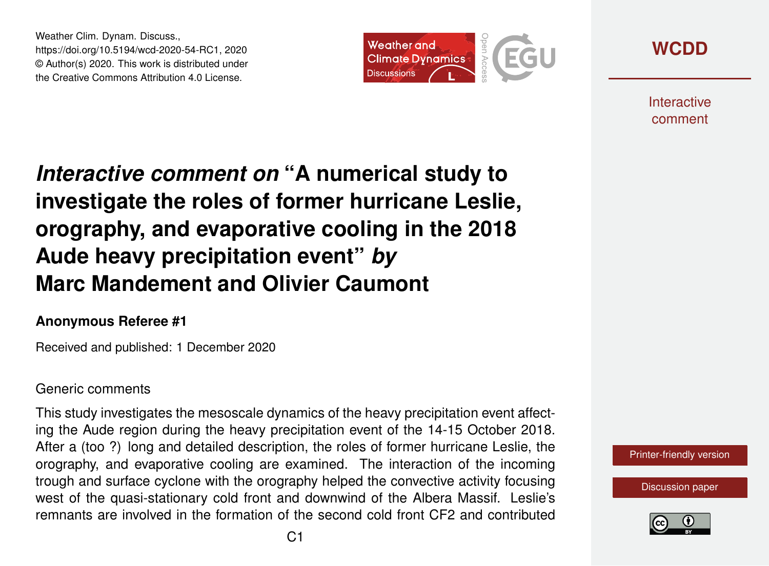Weather Clim. Dynam. Discuss., https://doi.org/10.5194/wcd-2020-54-RC1, 2020 © Author(s) 2020. This work is distributed under the Creative Commons Attribution 4.0 License.





**Interactive** comment

## *Interactive comment on* **"A numerical study to investigate the roles of former hurricane Leslie, orography, and evaporative cooling in the 2018 Aude heavy precipitation event"** *by* **Marc Mandement and Olivier Caumont**

## **Anonymous Referee #1**

Received and published: 1 December 2020

## Generic comments

This study investigates the mesoscale dynamics of the heavy precipitation event affecting the Aude region during the heavy precipitation event of the 14-15 October 2018. After a (too ?) long and detailed description, the roles of former hurricane Leslie, the orography, and evaporative cooling are examined. The interaction of the incoming trough and surface cyclone with the orography helped the convective activity focusing west of the quasi-stationary cold front and downwind of the Albera Massif. Leslie's remnants are involved in the formation of the second cold front CF2 and contributed



[Discussion paper](https://wcd.copernicus.org/preprints/wcd-2020-54)